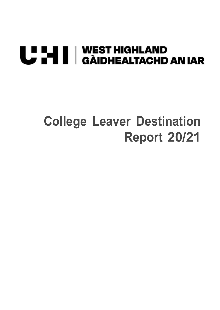# U HI | WEST HIGHLAND<br>U HI | GÀIDHEALTACHD AN IAR

# **College Leaver Destination Report 20/21**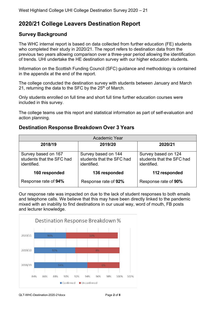### **2020/21 College Leavers Destination Report**

#### **Survey Background**

The WHC internal report is based on data collected from further education (FE) students who completed their study in 2020/21. The report refers to destination data from the previous two years allowing comparison over a three-year period allowing the identification of trends. UHI undertake the HE destination survey with our higher education students.

Information on the Scottish Funding Council (SFC) guidance and methodology is contained in the appendix at the end of the report.

The college conducted the destination survey with students between January and March 21, returning the data to the SFC by the  $25<sup>th</sup>$  of March.

Only students enrolled on full time and short full time further education courses were included in this survey.

The college teams use this report and statistical information as part of self-evaluation and action planning.

#### **Destination Response Breakdown Over 3 Years**

| Academic Year                                                   |                                                                 |                                                                 |  |  |  |  |  |
|-----------------------------------------------------------------|-----------------------------------------------------------------|-----------------------------------------------------------------|--|--|--|--|--|
| 2018/19                                                         | 2019/20                                                         | 2020/21                                                         |  |  |  |  |  |
| Survey based on 167<br>students that the SFC had<br>identified. | Survey based on 144<br>students that the SFC had<br>identified. | Survey based on 124<br>students that the SFC had<br>identified. |  |  |  |  |  |
| 160 responded                                                   | 136 responded                                                   | 112 responded                                                   |  |  |  |  |  |
| Response rate of 94%                                            | Response rate of 92%                                            | Response rate of 90%                                            |  |  |  |  |  |

Our response rate was impacted on due to the lack of student responses to both emails and telephone calls. We believe that this may have been directly linked to the pandemic mixed with an inability to find destinations in our usual way, word of mouth, FB posts and lecturer knowledge.

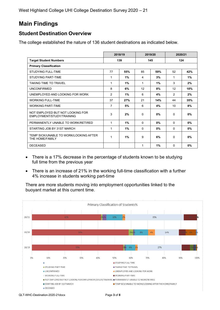West Highland College UHI College Destination Survey 2020 – 21

## **Main Findings**

#### **Student Destination Overview**

The college established the nature of 136 student destinations as indicated below.

|                                                               | 2018/19        |       | 2019/20  |     | 2020/21        |       |  |
|---------------------------------------------------------------|----------------|-------|----------|-----|----------------|-------|--|
| <b>Target Student Numbers</b>                                 | 139<br>145     |       | 124      |     |                |       |  |
| <b>Primary Classification</b>                                 |                |       |          |     |                |       |  |
| <b>STUDYING FULL-TIME</b>                                     | 77             | 55%   | 85       | 59% | 52             | 42%   |  |
| <b>STUDYING PART-TIME</b>                                     | 1              | 1%    | 4        | 3%  | 1              | 1%    |  |
| <b>TAKING TIME TO TRAVEL</b>                                  | 1              | 1%    | 1        | 1%  | 3              | 2%    |  |
| <b>UNCONFIRMED</b>                                            | 8              | 6%    | 12       | 8%  | 12             | 10%   |  |
| UNEMPLOYED AND LOOKING FOR WORK                               | 2              | $1\%$ | 6        | 4%  | $\overline{2}$ | 2%    |  |
| <b>WORKING FULL-TIME</b>                                      | 37             | 27%   | 21       | 14% | 44             | 35%   |  |
| <b>WORKING PART-TIME</b>                                      | $\overline{7}$ | 5%    | 6        | 4%  | 10             | 8%    |  |
| NOT EMPLOYED BUT NOT LOOKING FOR<br>EMPLOYMENT/STUDY/TRAINING | 3              | 2%    | $\Omega$ | 0%  | 0              | $0\%$ |  |
| PERMANENTLY UNABLE TO WORK/RETIRED                            | $\mathbf{1}$   | $1\%$ | $\Omega$ | 0%  | 0              | 0%    |  |
| STARTING JOB BY 31ST MARCH                                    | 1              | $1\%$ | $\Omega$ | 0%  | $\Omega$       | $0\%$ |  |
| TEMP SICK/UNABLE TO WORK/LOOKING AFTER<br>THE HOME/FAMILY     | 1              | 1%    | 9        | 6%  | $\Omega$       | $0\%$ |  |
| <b>DECEASED</b>                                               |                |       | 1        | 1%  | 0              | $0\%$ |  |

- There is a 17% decrease in the percentage of students known to be studying full time from the previous year
- There is an increase of 21% in the working full-time classification with a further 4% increase in students working part-time

There are more students moving into employment opportunities linked to the buoyant market at this current time.



QLT-WHC-Destination-2020-21docx Page **3** of **8**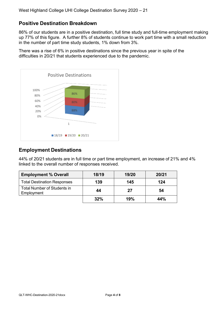#### **Positive Destination Breakdown**

86% of our students are in a positive destination, full time study and full-time employment making up 77% of this figure. A further 8% of students continue to work part time with a small reduction in the number of part time study students, 1% down from 3%.

There was a rise of 6% in positive destinations since the previous year in spite of the difficulties in 20/21 that students experienced due to the pandemic.



#### **Employment Destinations**

44% of 20/21 students are in full time or part time employment, an increase of 21% and 4% linked to the overall number of responses received.

| <b>Employment % Overall</b>                      | 18/19 | 19/20 | 20/21 |
|--------------------------------------------------|-------|-------|-------|
| <b>Total Destination Responses</b>               | 139   | 145   | 124   |
| <b>Total Number of Students in</b><br>Employment | 44    | 27    | 54    |
|                                                  | 32%   | 19%   | 44%   |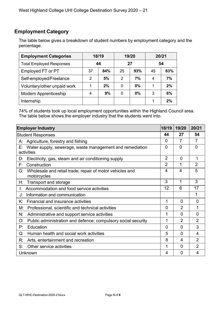#### **Employment Category**

The table below gives a breakdown of student numbers by employment category and the percentage.

| <b>Employment Categories</b>    | 18/19 |     | 19/20 |       | 20/21 |     |
|---------------------------------|-------|-----|-------|-------|-------|-----|
| <b>Total Employed Responses</b> | 44    |     | 27    |       | 54    |     |
| Employed FT or PT               | 37    | 84% | 25    | 93%   | 45    | 83% |
| Self-employed/Freelance         | 2     | 5%  | 2     | 7%    | 4     | 7%  |
| Voluntary/other unpaid work     |       | 2%  | 0     | $0\%$ |       | 2%  |
| <b>Modern Apprenticeship</b>    |       | 9%  | 0     | $0\%$ | 3     | 6%  |
| Internship                      |       |     |       |       |       | 2%  |

74% of students took up local employment opportunities within the Highland Council area. The table below shows the employer industry that the students went into.

| <b>Employer Industry</b>                                                      | 18/19          | 19/20          | 20/21          |
|-------------------------------------------------------------------------------|----------------|----------------|----------------|
| <b>Student Responses</b>                                                      | 44             | 27             | 54             |
| Agriculture, forestry and fishing<br>А:                                       | 0              | 7              | $\overline{7}$ |
| Water supply, sewerage, waste management and remediation<br>Е:<br>activities  | 0              | $\Omega$       | $\Omega$       |
| Electricity, gas, steam and air conditioning supply<br>D:                     | $\overline{2}$ | 0              |                |
| Construction<br>F.                                                            | $\overline{2}$ | 1              | $\overline{2}$ |
| Wholesale and retail trade; repair of motor vehicles and<br>G:<br>motorcycles | 4              | $\overline{4}$ | 5              |
| <b>Transport and storage</b><br>Н:                                            | 3              | 1              | 3              |
| Accommodation and food service activities<br>Ŀ.                               | 12             | 6              | 17             |
| Information and communication<br>J:                                           |                |                | 1              |
| Κ.<br>Financial and insurance activities                                      | 1              | $\mathbf{0}$   | 0              |
| Professional, scientific and technical activities<br>M:                       | 0              | $\overline{2}$ | 1              |
| Administrative and support service activities<br>N.                           |                | $\overline{0}$ | 0              |
| Public administration and defence; compulsory social security<br>O:           | 1              | $\overline{2}$ | $\overline{2}$ |
| Education<br>P:                                                               | $\mathbf{0}$   | $\Omega$       | 3              |
| Human health and social work activities<br>Q:                                 | 5              | $\overline{0}$ | 4              |
| Arts, entertainment and recreation<br>R:                                      | 8              | 4              | $\overline{2}$ |
| S:<br>Other service activities                                                |                | 0              | $\overline{2}$ |
| Unknown                                                                       | 4              | $\overline{0}$ | 4              |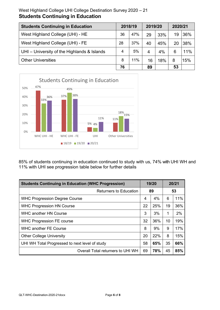#### West Highland College UHI College Destination Survey 2020 – 21 **Students Continuing in Education**

| <b>Students Continuing in Education</b>     |    | 2019/20<br>2018/19 |    | 2020/21 |    |     |
|---------------------------------------------|----|--------------------|----|---------|----|-----|
| West Highland College (UHI) - HE            | 36 | 47%                | 29 | 33%     | 19 | 36% |
| West Highland College (UHI) - FE            | 28 | 37%                | 40 | 45%     | 20 | 38% |
| UHI – University of the Highlands & Islands | 4  | 5%                 | 4  | 4%      | 6  | 11% |
| <b>Other Universities</b>                   | 8  | 11%                | 16 | 18%     | 8  | 15% |
|                                             | 76 |                    | 89 |         | 53 |     |



85% of students continuing in education continued to study with us, 74% with UHI WH and 11% with UHI see progression table below for further details

| <b>Students Continuing in Education (WHC Progression)</b> | 19/20 |       | 20/21 |     |
|-----------------------------------------------------------|-------|-------|-------|-----|
| <b>Returners to Education</b>                             | 89    |       | 53    |     |
| <b>WHC Progression Degree Course</b>                      | 4     | 4%    | 6     | 11% |
| <b>WHC Progression HN Course</b>                          | 22    | 25%   | 19    | 36% |
| <b>WHC another HN Course</b>                              | 3     | 3%    | 1     | 2%  |
| <b>WHC Progression FE course</b>                          | 32    | 36%   | 10    | 19% |
| <b>WHC another FE Course</b>                              | 8     | $9\%$ | 9     | 17% |
| <b>Other College University</b>                           | 20    | 22%   | 8     | 15% |
| UHI WH Total Progressed to next level of study            | 58    | 65%   | 35    | 66% |
| Overall Total returners to UHI WH                         | 69    | 78%   | 45    | 85% |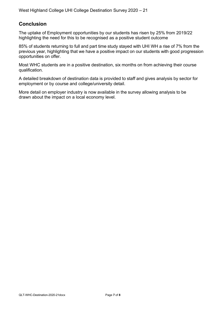#### **Conclusion**

The uptake of Employment opportunities by our students has risen by 25% from 2019/22 highlighting the need for this to be recognised as a positive student outcome

85% of students returning to full and part time study stayed with UHI WH a rise of 7% from the previous year, highlighting that we have a positive impact on our students with good progression opportunities on offer.

Most WHC students are in a positive destination, six months on from achieving their course qualification.

A detailed breakdown of destination data is provided to staff and gives analysis by sector for employment or by course and college/university detail.

More detail on employer industry is now available in the survey allowing analysis to be drawn about the impact on a local economy level.